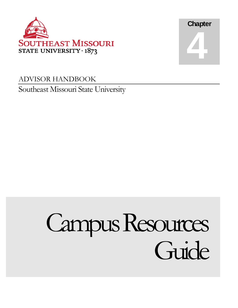



# ADVISOR HANDBOOK Southeast Missouri State University

# Campus Resources Guide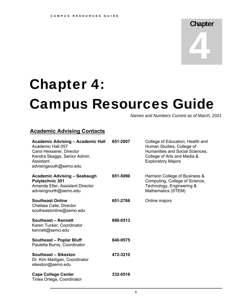# **Chapter** 4

# Chapter 4: Campus Resources Guide

*Names and Numbers Current as of March, 2021* 

## **Academic Advising Contacts**

| 651-2007 | College of Education, Health and<br>Human Studies, College of<br>Humanities and Social Sciences,<br>College of Arts and Media &<br><b>Exploratory Majors</b> |
|----------|--------------------------------------------------------------------------------------------------------------------------------------------------------------|
| 651-5090 | Harrison College of Business &<br>Computing, College of Science,<br>Technology, Engineering &<br>Mathematics (STEM)                                          |
| 651-2766 | Online majors                                                                                                                                                |
| 888-0513 |                                                                                                                                                              |
| 840-9575 |                                                                                                                                                              |
| 472-3210 |                                                                                                                                                              |
| 332-0516 |                                                                                                                                                              |
|          |                                                                                                                                                              |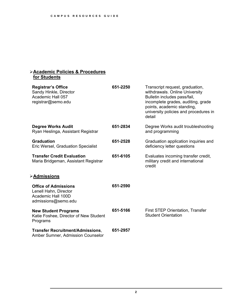#### **Academic Policies & Procedures for Students**

| <b>Registrar's Office</b><br>Sandy Hinkle, Director<br>Academic Hall 057<br>registrar@semo.edu    | 651-2250 | Transcript request, graduation,<br>withdrawals. Online University<br>Bulletin includes pass/fail,<br>incomplete grades, auditing, grade<br>points, academic standing,<br>university policies and procedures in<br>detail |
|---------------------------------------------------------------------------------------------------|----------|--------------------------------------------------------------------------------------------------------------------------------------------------------------------------------------------------------------------------|
| <b>Degree Works Audit</b><br>Ryan Heslinga, Assistant Registrar                                   | 651-2834 | Degree Works audit troubleshooting<br>and programming                                                                                                                                                                    |
| <b>Graduation</b><br><b>Eric Wersel, Graduation Specialist</b>                                    | 651-2528 | Graduation application inquiries and<br>deficiency letter questions                                                                                                                                                      |
| <b>Transfer Credit Evaluation</b><br>Maria Bridgeman, Assistant Registrar                         | 651-6105 | Evaluates incoming transfer credit,<br>military credit and international<br>credit                                                                                                                                       |
| <b>&gt;Admissions</b>                                                                             |          |                                                                                                                                                                                                                          |
| <b>Office of Admissions</b><br>Lenell Hahn, Director<br>Academic Hall 100D<br>admissions@semo.edu | 651-2590 |                                                                                                                                                                                                                          |
| <b>New Student Programs</b><br>Katie Foshee, Director of New Student<br>Programs                  | 651-5166 | First STEP Orientation, Transfer<br><b>Student Orientation</b>                                                                                                                                                           |
| <b>Transfer Recruitment/Admissions,</b><br>Amber Sumner, Admission Counselor                      | 651-2957 |                                                                                                                                                                                                                          |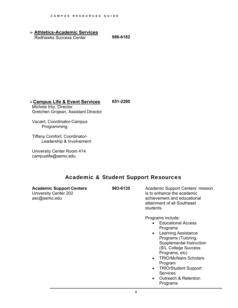**Athletics-Academic Services** Redhawks Success Center **986-6182** 

# **Campus Life & Event Services**

**651-2280** 

Michele Irby, Director Gretchen Grojean, Assistant Director

Vacant, Coordinator-Campus Programming

Tiffany Comfort, Coordinator- Leadership & Involvement

University Center Room 414 [campuslife@semo.edu](mailto:campuslife@semo.edu) 

### Academic & Student Support Resources

**Academic Support Centers**  University Center 202 [asc@semo.edu](mailto:asc@semo.edu)

**983-6135** Academic Support Centers' mission is to enhance the academic achievement and educational attainment of all Southeast students.

Programs include:

- Educational Access Programs
- Learning Assistance Programs (Tutoring, Supplemental Instruction (SI), College Success Programs, etc)
- TRIO/McNairs Scholars Program
- TRIO/Student Support **Services**
- Outreach & Retention Programs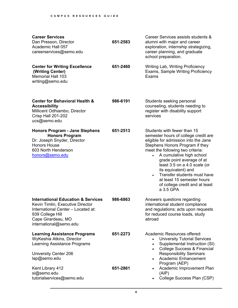| <b>Career Services</b><br>Dan Presson, Director<br>Academic Hall 057<br>careerservices@semo.edu                                                                                             | 651-2583 | Career Services assists students &<br>alumni with major and career<br>exploration, internship strategizing,<br>career planning, and graduate<br>school preparation.                                                                                                                                                                                                                                                         |
|---------------------------------------------------------------------------------------------------------------------------------------------------------------------------------------------|----------|-----------------------------------------------------------------------------------------------------------------------------------------------------------------------------------------------------------------------------------------------------------------------------------------------------------------------------------------------------------------------------------------------------------------------------|
| <b>Center for Writing Excellence</b><br>(Writing Center)<br><b>Memorial Hall 103</b><br>writing@semo.edu                                                                                    | 651-2460 | Writing Lab, Writing Proficiency<br>Exams, Sample Writing Proficiency<br>Exams                                                                                                                                                                                                                                                                                                                                              |
| <b>Center for Behavioral Health &amp;</b><br><b>Accessibility</b><br>Millicent Odhiambo, Director<br><b>Crisp Hall 201-202</b><br>ucs@semo.edu                                              | 986-6191 | Students seeking personal<br>counseling, students needing to<br>register with disability support<br>services                                                                                                                                                                                                                                                                                                                |
| <b>Honors Program - Jane Stephens</b><br><b>Honors Program</b><br>Dr. Joseph Snyder, Director<br><b>Honors House</b><br>603 North Henderson<br>honors@semo.edu                              | 651-2513 | Students with fewer than 15<br>semester hours of college credit are<br>eligible for admission into the Jane<br>Stephens Honors Program if they<br>meet the following two criteria:<br>A cumulative high school<br>grade point average of at<br>least 3.5 on a 4.0 scale (or<br>its equivalent) and<br>Transfer students must have<br>$\bullet$<br>at least 15 semester hours<br>of college credit and at least<br>a 3.5 GPA |
| <b>International Education &amp; Services</b><br>Kevin Timlin, Executive Director<br>International Center – Located at:<br>939 College Hill<br>Cape Girardeau, MO<br>international@semo.edu | 986-6863 | Answers questions regarding<br>international student compliance<br>and regulations; acts upon requests<br>for reduced course loads, study<br>abroad                                                                                                                                                                                                                                                                         |
| <b>Learning Assistance Programs</b><br>WyKeshia Atkins, Director<br>Learning Assistance Programs<br>University Center 206<br>lap@semo.edu                                                   | 651-2273 | Academic Resources offered:<br><b>University Tutorial Services</b><br>Supplemental Instruction (SI)<br>$\bullet$<br><b>College Success &amp; Financial</b><br>$\bullet$<br><b>Responsibility Seminars</b><br><b>Academic Enhancement</b><br>$\bullet$<br>Program (AEP)                                                                                                                                                      |
| Kent Library 412<br>si@semo.edu<br>tutorialservices@semo.edu                                                                                                                                | 651-2861 | Academic Improvement Plan<br>(AIP)<br>College Success Plan (CSP)                                                                                                                                                                                                                                                                                                                                                            |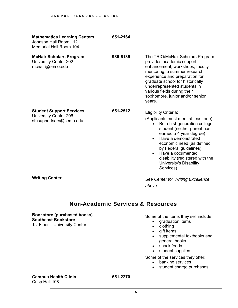| <b>Mathematics Learning Centers</b><br>Johnson Hall Room 112<br><b>Memorial Hall Room 104</b> | 651-2164 |                                                                                                                                                                                                                                                                                                                                                           |
|-----------------------------------------------------------------------------------------------|----------|-----------------------------------------------------------------------------------------------------------------------------------------------------------------------------------------------------------------------------------------------------------------------------------------------------------------------------------------------------------|
| <b>McNair Scholars Program</b><br>University Center 202<br>mcnair@semo.edu                    | 986-6135 | The TRIO/McNair Scholars Program<br>provides academic support,<br>enhancement, workshops, faculty<br>mentoring, a summer research<br>experience and preparation for<br>graduate school for historically<br>underrepresented students in<br>various fields during their<br>sophomore, junior and/or senior<br>years.                                       |
| <b>Student Support Services</b><br>University Center 206<br>stusupportserv@semo.edu           | 651-2512 | <b>Eligibility Criteria:</b><br>(Applicants must meet at least one)<br>Be a first-generation college<br>student (neither parent has<br>earned a 4 year degree)<br>Have a demonstrated<br>economic need (as defined<br>by Federal guidelines)<br>Have a documented<br>$\bullet$<br>disability (registered with the<br>University's Disability<br>Services) |

**Writing Center** 

*See Center for Writing Excellence above* 

### Non-Academic Services & Resources

**Bookstore (purchased books) Southeast Bookstore**  1st Floor – University Center

Some of the items they sell include:

- graduation items
- clothing
- gift items
- supplemental textbooks and general books
- snack foods
- student supplies

Some of the services they offer:

- banking services
- student charge purchases

**Campus Health Clinic 651-2270**  Crisp Hall 108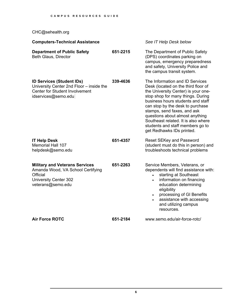[CHC@sehealth.org](mailto:CHC@sehealth.org)

| <b>Computers-Technical Assistance</b>                                                                                                        |          | See IT Help Desk below                                                                                                                                                                                                                                                                                                                                                                                |
|----------------------------------------------------------------------------------------------------------------------------------------------|----------|-------------------------------------------------------------------------------------------------------------------------------------------------------------------------------------------------------------------------------------------------------------------------------------------------------------------------------------------------------------------------------------------------------|
| <b>Department of Public Safety</b><br><b>Beth Glaus, Director</b>                                                                            | 651-2215 | The Department of Public Safety<br>(DPS) coordinates parking on<br>campus, emergency preparedness<br>and safety, University Police and<br>the campus transit system.                                                                                                                                                                                                                                  |
| <b>ID Services (Student IDs)</b><br>University Center 2nd Floor - inside the<br><b>Center for Student Involvement</b><br>idservices@semo.edu | 339-4636 | The Information and ID Services<br>Desk (located on the third floor of<br>the University Center) is your one-<br>stop shop for many things. During<br>business hours students and staff<br>can stop by the desk to purchase<br>stamps, send faxes, and ask<br>questions about almost anything<br>Southeast related. It is also where<br>students and staff members go to<br>get Redhawks IDs printed. |
| <b>IT Help Desk</b><br><b>Memorial Hall 107</b><br>helpdesk@semo.edu                                                                         | 651-4357 | <b>Reset SEKey and Password</b><br>(student must do this in person) and<br>troubleshoots technical problems                                                                                                                                                                                                                                                                                           |
| <b>Military and Veterans Services</b><br>Amanda Wood, VA School Certifying<br>Official<br><b>University Center 302</b><br>veterans@semo.edu  | 651-2263 | Service Members, Veterans, or<br>dependents will find assistance with:<br>starting at Southeast<br>$\bullet$<br>information on financing<br>$\bullet$<br>education determining<br>eligibility<br>processing of GI Benefits<br>$\bullet$<br>assistance with accessing<br>and utilizing campus<br>resources.                                                                                            |
| <b>Air Force ROTC</b>                                                                                                                        | 651-2184 | www.semo.edu/air-force-rotc/                                                                                                                                                                                                                                                                                                                                                                          |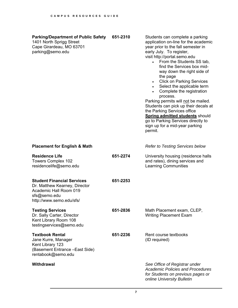| <b>Parking/Department of Public Safety</b><br>1401 North Sprigg Street<br>Cape Girardeau, MO 63701<br>parking@semo.edu                   | 651-2310 | Students can complete a parking<br>application on-line for the academic<br>year prior to the fall semester in<br>early July. To register,<br>visit http://portal.semo.edu<br>From the Students SS tab,<br>$\bullet$<br>find the Services box mid-<br>way down the right side of<br>the page<br><b>Click on Parking Services</b><br>$\bullet$<br>Select the applicable term<br>Complete the registration<br>process.<br>Parking permits will not be mailed.<br>Students can pick up their decals at<br>the Parking Services office<br><b>Spring admitted students should</b><br>go to Parking Services directly to<br>sign up for a mid-year parking<br>permit. |
|------------------------------------------------------------------------------------------------------------------------------------------|----------|----------------------------------------------------------------------------------------------------------------------------------------------------------------------------------------------------------------------------------------------------------------------------------------------------------------------------------------------------------------------------------------------------------------------------------------------------------------------------------------------------------------------------------------------------------------------------------------------------------------------------------------------------------------|
| <b>Placement for English &amp; Math</b>                                                                                                  |          | <b>Refer to Testing Services below</b>                                                                                                                                                                                                                                                                                                                                                                                                                                                                                                                                                                                                                         |
| <b>Residence Life</b><br>Towers Complex 102<br>residencelife@semo.edu                                                                    | 651-2274 | University housing (residence halls<br>and rates), dining services and<br><b>Learning Communities</b>                                                                                                                                                                                                                                                                                                                                                                                                                                                                                                                                                          |
| <b>Student Financial Services</b><br>Dr. Matthew Kearney, Director<br>Academic Hall Room 019<br>sfs@semo.edu<br>http://www.semo.edu/sfs/ | 651-2253 |                                                                                                                                                                                                                                                                                                                                                                                                                                                                                                                                                                                                                                                                |
| <b>Testing Services</b><br>Dr. Sally Carter, Director<br>Kent Library Room 108<br>testingservices@semo.edu                               | 651-2836 | Math Placement exam, CLEP,<br><b>Writing Placement Exam</b>                                                                                                                                                                                                                                                                                                                                                                                                                                                                                                                                                                                                    |
| <b>Textbook Rental</b><br>Jane Kurre, Manager<br>Kent Library 123<br>(Basement Entrance - East Side)<br>rentabook@semo.edu               | 651-2236 | Rent course textbooks<br>(ID required)                                                                                                                                                                                                                                                                                                                                                                                                                                                                                                                                                                                                                         |
| <b>Withdrawal</b>                                                                                                                        |          | See Office of Registrar under<br><b>Academic Policies and Procedures</b><br>for Students on previous pages or<br>online University Bulletin                                                                                                                                                                                                                                                                                                                                                                                                                                                                                                                    |